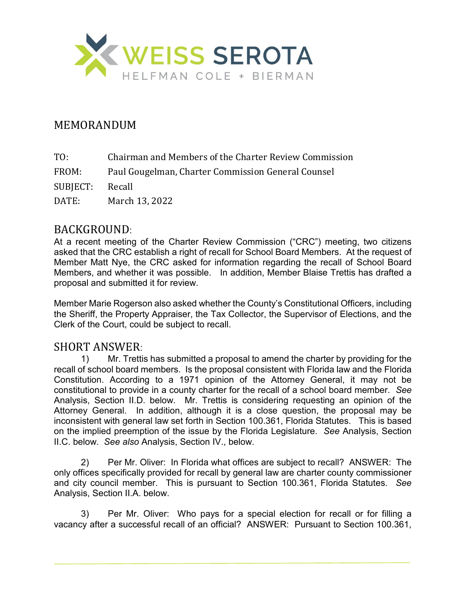

## MEMORANDUM

FROM: Paul Gougelman, Charter Commission General Counsel

SUBJECT: Recall

DATE: March 13, 2022

#### BACKGROUND:

At a recent meeting of the Charter Review Commission ("CRC") meeting, two citizens asked that the CRC establish a right of recall for School Board Members. At the request of Member Matt Nye, the CRC asked for information regarding the recall of School Board Members, and whether it was possible. In addition, Member Blaise Trettis has drafted a proposal and submitted it for review.

Member Marie Rogerson also asked whether the County's Constitutional Officers, including the Sheriff, the Property Appraiser, the Tax Collector, the Supervisor of Elections, and the Clerk of the Court, could be subject to recall.

# SHORT ANSWER:<br>1) Mr. Tretti

1) Mr. Trettis has submitted a proposal to amend the charter by providing for the recall of school board members. Is the proposal consistent with Florida law and the Florida Constitution. According to a 1971 opinion of the Attorney General, it may not be constitutional to provide in a county charter for the recall of a school board member. *See*  Analysis, Section II.D. below. Mr. Trettis is considering requesting an opinion of the Attorney General. In addition, although it is a close question, the proposal may be inconsistent with general law set forth in Section 100.361, Florida Statutes. This is based on the implied preemption of the issue by the Florida Legislature. *See* Analysis, Section II.C. below. *See also* Analysis, Section IV., below.

2) Per Mr. Oliver: In Florida what offices are subject to recall? ANSWER: The only offices specifically provided for recall by general law are charter county commissioner and city council member. This is pursuant to Section 100.361, Florida Statutes. *See* Analysis, Section II.A. below.

3) Per Mr. Oliver: Who pays for a special election for recall or for filling a vacancy after a successful recall of an official? ANSWER: Pursuant to Section 100.361,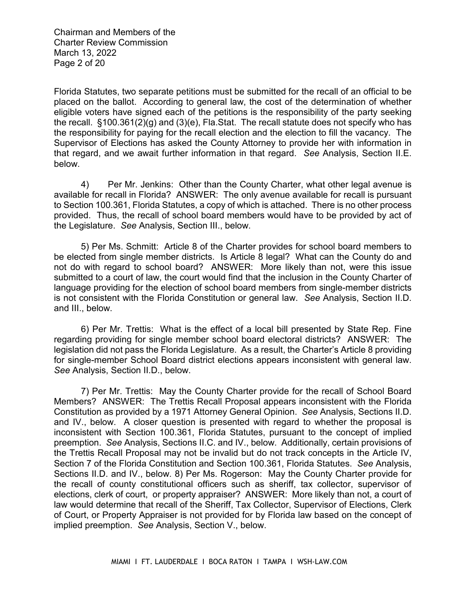Chairman and Members of the Charter Review Commission March 13, 2022 Page 2 of 20

Florida Statutes, two separate petitions must be submitted for the recall of an official to be placed on the ballot. According to general law, the cost of the determination of whether eligible voters have signed each of the petitions is the responsibility of the party seeking the recall. §100.361(2)(g) and (3)(e), Fla.Stat. The recall statute does not specify who has the responsibility for paying for the recall election and the election to fill the vacancy. The Supervisor of Elections has asked the County Attorney to provide her with information in that regard, and we await further information in that regard. *See* Analysis, Section II.E. below.

4) Per Mr. Jenkins: Other than the County Charter, what other legal avenue is available for recall in Florida? ANSWER: The only avenue available for recall is pursuant to Section 100.361, Florida Statutes, a copy of which is attached. There is no other process provided. Thus, the recall of school board members would have to be provided by act of the Legislature. *See* Analysis, Section III., below.

5) Per Ms. Schmitt: Article 8 of the Charter provides for school board members to be elected from single member districts. Is Article 8 legal? What can the County do and not do with regard to school board? ANSWER: More likely than not, were this issue submitted to a court of law, the court would find that the inclusion in the County Charter of language providing for the election of school board members from single-member districts is not consistent with the Florida Constitution or general law. *See* Analysis, Section II.D. and III., below.

6) Per Mr. Trettis: What is the effect of a local bill presented by State Rep. Fine regarding providing for single member school board electoral districts? ANSWER: The legislation did not pass the Florida Legislature. As a result, the Charter's Article 8 providing for single-member School Board district elections appears inconsistent with general law. *See* Analysis, Section II.D., below.

7) Per Mr. Trettis: May the County Charter provide for the recall of School Board Members? ANSWER: The Trettis Recall Proposal appears inconsistent with the Florida Constitution as provided by a 1971 Attorney General Opinion. *See* Analysis, Sections II.D. and IV., below. A closer question is presented with regard to whether the proposal is inconsistent with Section 100.361, Florida Statutes, pursuant to the concept of implied preemption. *See* Analysis, Sections II.C. and IV., below. Additionally, certain provisions of the Trettis Recall Proposal may not be invalid but do not track concepts in the Article IV, Section 7 of the Florida Constitution and Section 100.361, Florida Statutes. *See* Analysis, Sections II.D. and IV., below. 8) Per Ms. Rogerson: May the County Charter provide for the recall of county constitutional officers such as sheriff, tax collector, supervisor of elections, clerk of court, or property appraiser? ANSWER: More likely than not, a court of law would determine that recall of the Sheriff, Tax Collector, Supervisor of Elections, Clerk of Court, or Property Appraiser is not provided for by Florida law based on the concept of implied preemption. *See* Analysis, Section V., below.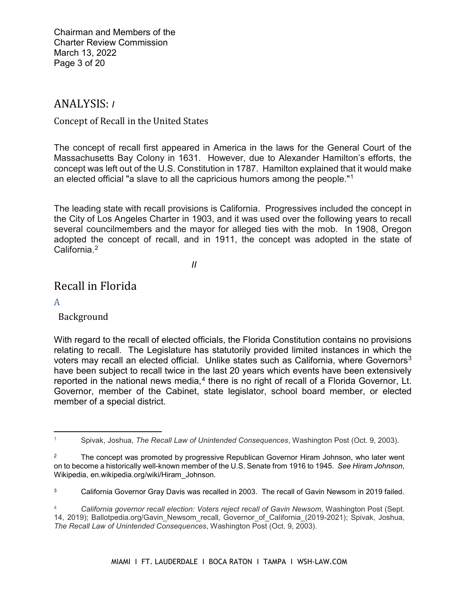Chairman and Members of the Charter Review Commission March 13, 2022 Page 3 of 20

### ANALYSIS: *I*

Concept of Recall in the United States

The concept of recall first appeared in America in the laws for the General Court of the Massachusetts Bay Colony in 1631. However, due to Alexander Hamilton's efforts, the concept was left out of the U.S. Constitution in 1787. Hamilton explained that it would make an elected official "a slave to all the capricious humors among the people."[1](#page-2-0)

The leading state with recall provisions is California. Progressives included the concept in the City of Los Angeles Charter in 1903, and it was used over the following years to recall several councilmembers and the mayor for alleged ties with the mob. In 1908, Oregon adopted the concept of recall, and in 1911, the concept was adopted in the state of California<sup>2</sup>

*II*

# Recall in Florida

A

 $\overline{a}$ 

Background

With regard to the recall of elected officials, the Florida Constitution contains no provisions relating to recall. The Legislature has statutorily provided limited instances in which the voters may recall an elected official. Unlike states such as California, where Governors<sup>[3](#page-2-2)</sup> have been subject to recall twice in the last 20 years which events have been extensively reported in the national news media, $4$  there is no right of recall of a Florida Governor, Lt. Governor, member of the Cabinet, state legislator, school board member, or elected member of a special district.

<span id="page-2-0"></span><sup>1</sup> Spivak, Joshua, *The Recall Law of Unintended Consequences*, Washington Post (Oct. 9, 2003).

<span id="page-2-1"></span><sup>&</sup>lt;sup>2</sup> The concept was promoted by progressive Republican Governor Hiram Johnson, who later went on to become a historically well-known member of the U.S. Senate from 1916 to 1945. *See Hiram Johnson*, Wikipedia, en.wikipedia.org/wiki/Hiram\_Johnson.

<span id="page-2-2"></span><sup>&</sup>lt;sup>3</sup> California Governor Gray Davis was recalled in 2003. The recall of Gavin Newsom in 2019 failed.

<span id="page-2-3"></span><sup>4</sup> *California governor recall election: Voters reject recall of Gavin Newsom*, Washington Post (Sept. 14, 2019); Ballotpedia.org/Gavin\_Newsom\_recall, Governor\_of\_California\_(2019-2021); Spivak, Joshua, *The Recall Law of Unintended Consequences*, Washington Post (Oct. 9, 2003).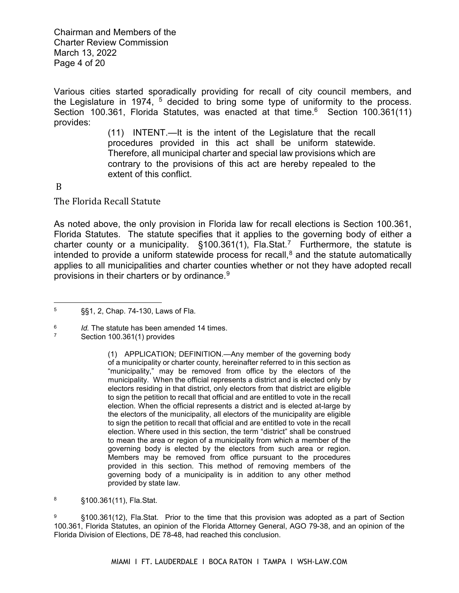Chairman and Members of the Charter Review Commission March 13, 2022 Page 4 of 20

Various cities started sporadically providing for recall of city council members, and the Legislature in 1974,  $5$  decided to bring some type of uniformity to the process. Section 100.3[6](#page-3-1)1, Florida Statutes, was enacted at that time.<sup>6</sup> Section 100.361(11) provides:

> (11) INTENT.—It is the intent of the Legislature that the recall procedures provided in this act shall be uniform statewide. Therefore, all municipal charter and special law provisions which are contrary to the provisions of this act are hereby repealed to the extent of this conflict.

#### B

The Florida Recall Statute

As noted above, the only provision in Florida law for recall elections is Section 100.361, Florida Statutes. The statute specifies that it applies to the governing body of either a charter county or a municipality.  $$100.361(1)$ , Fla.Stat.<sup>[7](#page-3-2)</sup> Furthermore, the statute is intended to provide a uniform statewide process for recall, $8$  and the statute automatically applies to all municipalities and charter counties whether or not they have adopted recall provisions in their charters or by ordinance.[9](#page-3-4)

<span id="page-3-0"></span><sup>5</sup> §§1, 2, Chap. 74-130, Laws of Fla.

<span id="page-3-2"></span><span id="page-3-1"></span> $^{6}$  *Id.* The statute has been amended 14 times.

Section 100.361(1) provides

<sup>(1)</sup> APPLICATION; DEFINITION.—Any member of the governing body of a municipality or charter county, hereinafter referred to in this section as "municipality," may be removed from office by the electors of the municipality. When the official represents a district and is elected only by electors residing in that district, only electors from that district are eligible to sign the petition to recall that official and are entitled to vote in the recall election. When the official represents a district and is elected at-large by the electors of the municipality, all electors of the municipality are eligible to sign the petition to recall that official and are entitled to vote in the recall election. Where used in this section, the term "district" shall be construed to mean the area or region of a municipality from which a member of the governing body is elected by the electors from such area or region. Members may be removed from office pursuant to the procedures provided in this section. This method of removing members of the governing body of a municipality is in addition to any other method provided by state law.

<span id="page-3-3"></span><sup>8</sup> §100.361(11), Fla.Stat.

<span id="page-3-4"></span><sup>9</sup> §100.361(12), Fla.Stat. Prior to the time that this provision was adopted as a part of Section 100.361, Florida Statutes, an opinion of the Florida Attorney General, AGO 79-38, and an opinion of the Florida Division of Elections, DE 78-48, had reached this conclusion.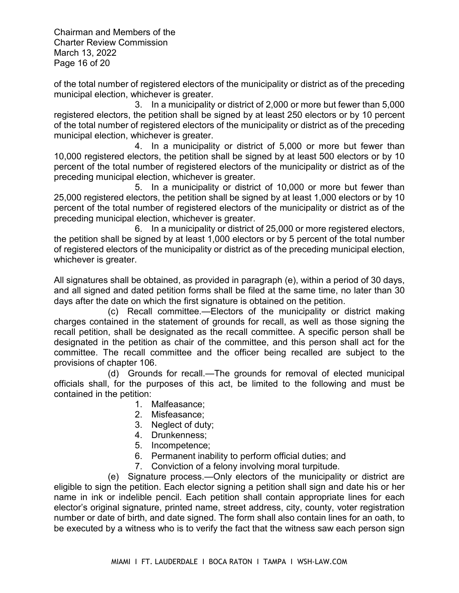Chairman and Members of the **Charter Review Commission** March 13, 2022 Page 4 of 20

Various cities started sporadically providing for recall of city council members, and the Legislature in 1974, <sup>5</sup> decided to bring some type of uniformity to the process. Section 100.361, Florida Statutes, was enacted at that time.<sup>6</sup> Section 100.361(11) provides:

 $\ddot{\phantom{0}}$ 

 $INTENT. I$   $L$ 

 $\mathsf T$ 

 $\blacksquare$ 

 $\mathsf{B}$ The Florida Recall Statute

| A F<br>F S. T                     | $S$ .<br>F.S.<br>$\mathsf F$ |
|-----------------------------------|------------------------------|
|                                   |                              |
| C.                                | $L$ F.                       |
| Id. T<br>${\sf S}$ .              |                              |
|                                   | APPLICATI ON DEFINITION. A   |
|                                   | $\cdot$ W                    |
|                                   | . $\ensuremath{\mathsf{W}}$  |
|                                   | W                            |
|                                   | ${\sf M}$<br>. T             |
| F <sub>1</sub>                    | S.                           |
| . $F.$<br>.FSF<br>FDEDE<br>FA AO- | S. P<br>$\sf S$              |

÷,